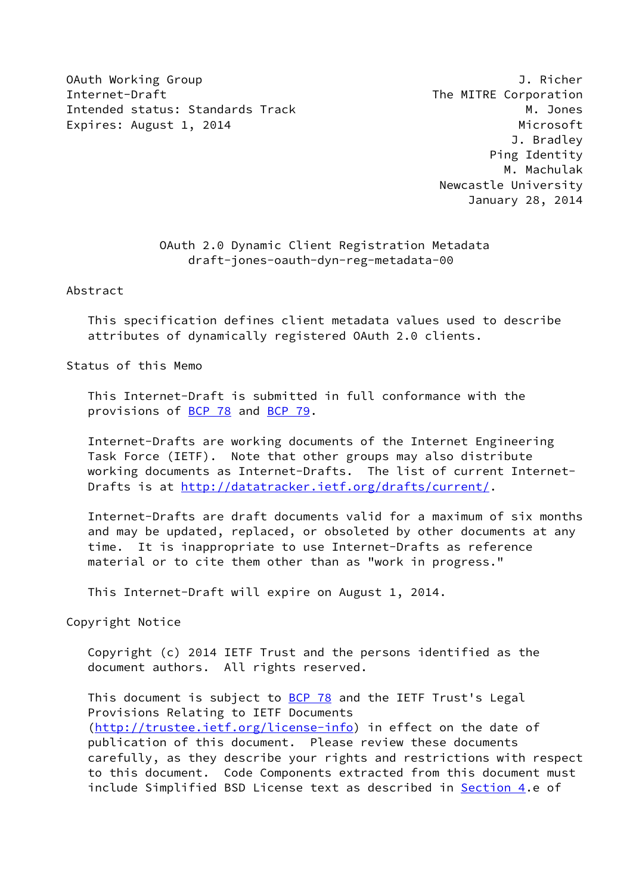OAuth Working Group J. Richer Internet-Draft The MITRE Corporation Intended status: Standards Track M. Jones Expires: August 1, 2014 **Microsoft** 

 J. Bradley Ping Identity M. Machulak Newcastle University January 28, 2014

## OAuth 2.0 Dynamic Client Registration Metadata draft-jones-oauth-dyn-reg-metadata-00

Abstract

 This specification defines client metadata values used to describe attributes of dynamically registered OAuth 2.0 clients.

Status of this Memo

 This Internet-Draft is submitted in full conformance with the provisions of [BCP 78](https://datatracker.ietf.org/doc/pdf/bcp78) and [BCP 79](https://datatracker.ietf.org/doc/pdf/bcp79).

 Internet-Drafts are working documents of the Internet Engineering Task Force (IETF). Note that other groups may also distribute working documents as Internet-Drafts. The list of current Internet Drafts is at<http://datatracker.ietf.org/drafts/current/>.

 Internet-Drafts are draft documents valid for a maximum of six months and may be updated, replaced, or obsoleted by other documents at any time. It is inappropriate to use Internet-Drafts as reference material or to cite them other than as "work in progress."

This Internet-Draft will expire on August 1, 2014.

Copyright Notice

 Copyright (c) 2014 IETF Trust and the persons identified as the document authors. All rights reserved.

This document is subject to **[BCP 78](https://datatracker.ietf.org/doc/pdf/bcp78)** and the IETF Trust's Legal Provisions Relating to IETF Documents [\(http://trustee.ietf.org/license-info](http://trustee.ietf.org/license-info)) in effect on the date of publication of this document. Please review these documents carefully, as they describe your rights and restrictions with respect to this document. Code Components extracted from this document must include Simplified BSD License text as described in [Section 4.](#page-8-0)e of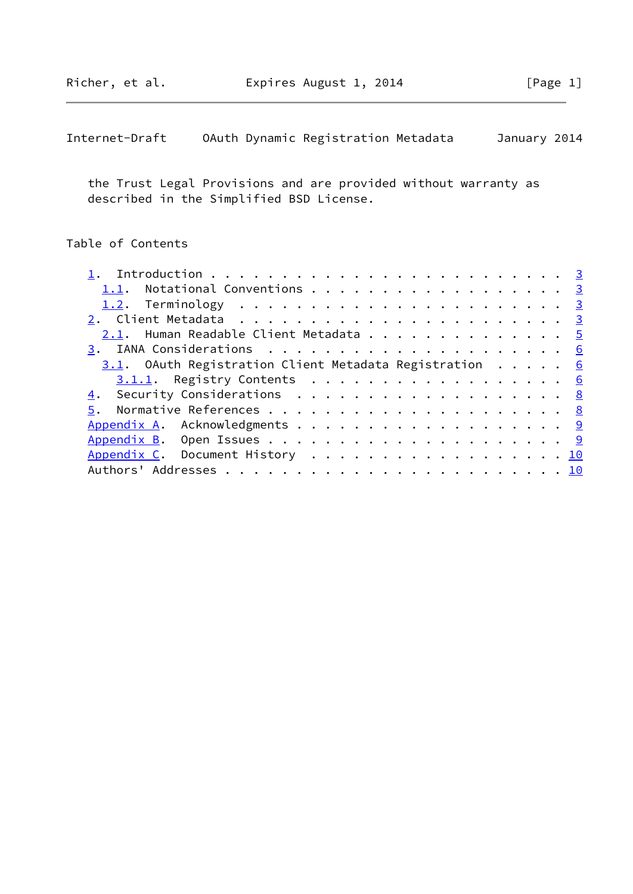| Internet-Draft |  |  | OAuth Dynamic Registration Metadata |  | January 2014 |  |
|----------------|--|--|-------------------------------------|--|--------------|--|
|----------------|--|--|-------------------------------------|--|--------------|--|

 the Trust Legal Provisions and are provided without warranty as described in the Simplified BSD License.

# Table of Contents

| 1.1. Notational Conventions 3                          |  |
|--------------------------------------------------------|--|
|                                                        |  |
|                                                        |  |
| 2.1. Human Readable Client Metadata 5                  |  |
|                                                        |  |
| 3.1. OAuth Registration Client Metadata Registration 6 |  |
| 3.1.1. Registry Contents 6                             |  |
| 4. Security Considerations 8                           |  |
|                                                        |  |
| Appendix A. Acknowledgments 9                          |  |
|                                                        |  |
| Appendix C. Document History 10                        |  |
|                                                        |  |
|                                                        |  |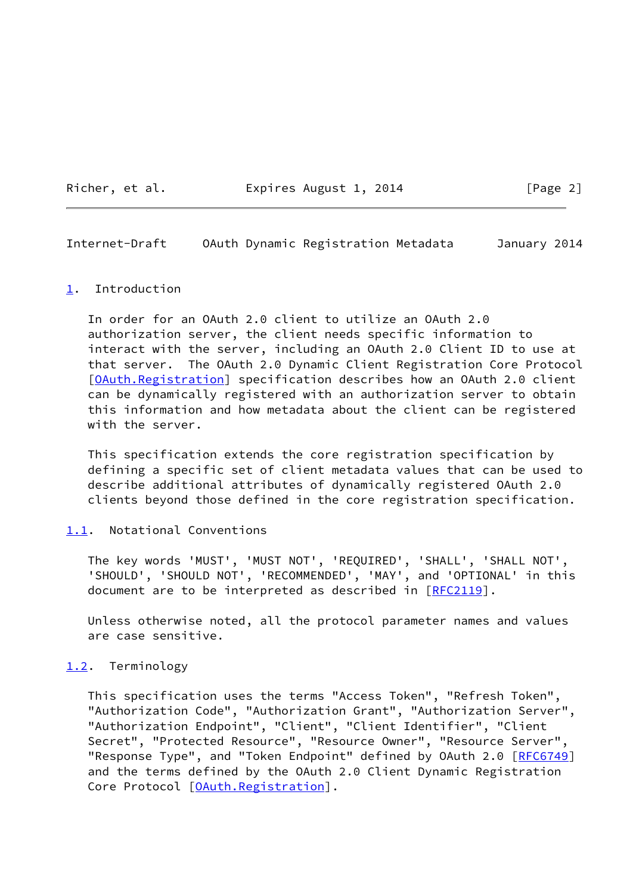Richer, et al. Expires August 1, 2014 [Page 2]

<span id="page-2-1"></span>Internet-Draft OAuth Dynamic Registration Metadata January 2014

#### <span id="page-2-0"></span>[1](#page-2-0). Introduction

 In order for an OAuth 2.0 client to utilize an OAuth 2.0 authorization server, the client needs specific information to interact with the server, including an OAuth 2.0 Client ID to use at that server. The OAuth 2.0 Dynamic Client Registration Core Protocol [\[OAuth.Registration\]](#page-9-3) specification describes how an OAuth 2.0 client can be dynamically registered with an authorization server to obtain this information and how metadata about the client can be registered with the server.

 This specification extends the core registration specification by defining a specific set of client metadata values that can be used to describe additional attributes of dynamically registered OAuth 2.0 clients beyond those defined in the core registration specification.

#### <span id="page-2-2"></span>[1.1](#page-2-2). Notational Conventions

 The key words 'MUST', 'MUST NOT', 'REQUIRED', 'SHALL', 'SHALL NOT', 'SHOULD', 'SHOULD NOT', 'RECOMMENDED', 'MAY', and 'OPTIONAL' in this document are to be interpreted as described in [\[RFC2119](https://datatracker.ietf.org/doc/pdf/rfc2119)].

 Unless otherwise noted, all the protocol parameter names and values are case sensitive.

#### <span id="page-2-3"></span>[1.2](#page-2-3). Terminology

 This specification uses the terms "Access Token", "Refresh Token", "Authorization Code", "Authorization Grant", "Authorization Server", "Authorization Endpoint", "Client", "Client Identifier", "Client Secret", "Protected Resource", "Resource Owner", "Resource Server", "Response Type", and "Token Endpoint" defined by OAuth 2.0 [[RFC6749\]](https://datatracker.ietf.org/doc/pdf/rfc6749) and the terms defined by the OAuth 2.0 Client Dynamic Registration Core Protocol [[OAuth.Registration\]](#page-9-3).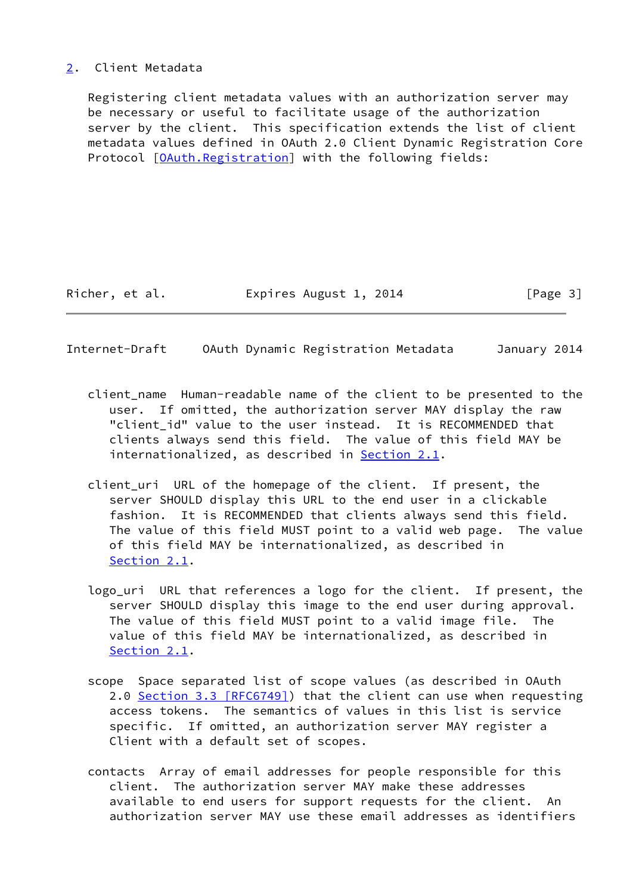## <span id="page-3-0"></span>[2](#page-3-0). Client Metadata

 Registering client metadata values with an authorization server may be necessary or useful to facilitate usage of the authorization server by the client. This specification extends the list of client metadata values defined in OAuth 2.0 Client Dynamic Registration Core Protocol [\[OAuth.Registration\]](#page-9-3) with the following fields:

Richer, et al. Expires August 1, 2014 [Page 3]

Internet-Draft OAuth Dynamic Registration Metadata January 2014

- client\_name Human-readable name of the client to be presented to the user. If omitted, the authorization server MAY display the raw "client\_id" value to the user instead. It is RECOMMENDED that clients always send this field. The value of this field MAY be internationalized, as described in [Section 2.1](#page-5-0).
- client\_uri URL of the homepage of the client. If present, the server SHOULD display this URL to the end user in a clickable fashion. It is RECOMMENDED that clients always send this field. The value of this field MUST point to a valid web page. The value of this field MAY be internationalized, as described in [Section 2.1](#page-5-0).
- logo\_uri URL that references a logo for the client. If present, the server SHOULD display this image to the end user during approval. The value of this field MUST point to a valid image file. The value of this field MAY be internationalized, as described in [Section 2.1](#page-5-0).
- scope Space separated list of scope values (as described in OAuth 2.0 Section [3.3 \[RFC6749\]\)](https://datatracker.ietf.org/doc/pdf/rfc6749#section-3.3) that the client can use when requesting access tokens. The semantics of values in this list is service specific. If omitted, an authorization server MAY register a Client with a default set of scopes.
- contacts Array of email addresses for people responsible for this client. The authorization server MAY make these addresses available to end users for support requests for the client. An authorization server MAY use these email addresses as identifiers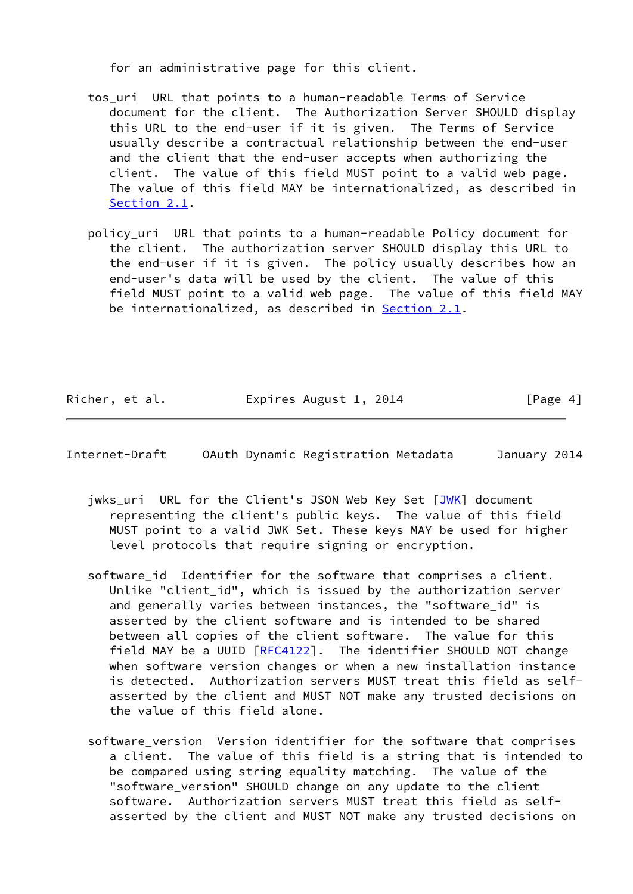for an administrative page for this client.

- tos uri URL that points to a human-readable Terms of Service document for the client. The Authorization Server SHOULD display this URL to the end-user if it is given. The Terms of Service usually describe a contractual relationship between the end-user and the client that the end-user accepts when authorizing the client. The value of this field MUST point to a valid web page. The value of this field MAY be internationalized, as described in [Section 2.1](#page-5-0).
- policy\_uri URL that points to a human-readable Policy document for the client. The authorization server SHOULD display this URL to the end-user if it is given. The policy usually describes how an end-user's data will be used by the client. The value of this field MUST point to a valid web page. The value of this field MAY be internationalized, as described in **Section 2.1**.

Richer, et al. Expires August 1, 2014 [Page 4]

<span id="page-4-0"></span>Internet-Draft OAuth Dynamic Registration Metadata January 2014

- jwks\_uri URL for the Client's JSON Web Key Set [\[JWK](#page-8-2)] document representing the client's public keys. The value of this field MUST point to a valid JWK Set. These keys MAY be used for higher level protocols that require signing or encryption.
- software\_id Identifier for the software that comprises a client. Unlike "client\_id", which is issued by the authorization server and generally varies between instances, the "software\_id" is asserted by the client software and is intended to be shared between all copies of the client software. The value for this field MAY be a UUID [\[RFC4122](https://datatracker.ietf.org/doc/pdf/rfc4122)]. The identifier SHOULD NOT change when software version changes or when a new installation instance is detected. Authorization servers MUST treat this field as self asserted by the client and MUST NOT make any trusted decisions on the value of this field alone.
- software version Version identifier for the software that comprises a client. The value of this field is a string that is intended to be compared using string equality matching. The value of the "software\_version" SHOULD change on any update to the client software. Authorization servers MUST treat this field as self asserted by the client and MUST NOT make any trusted decisions on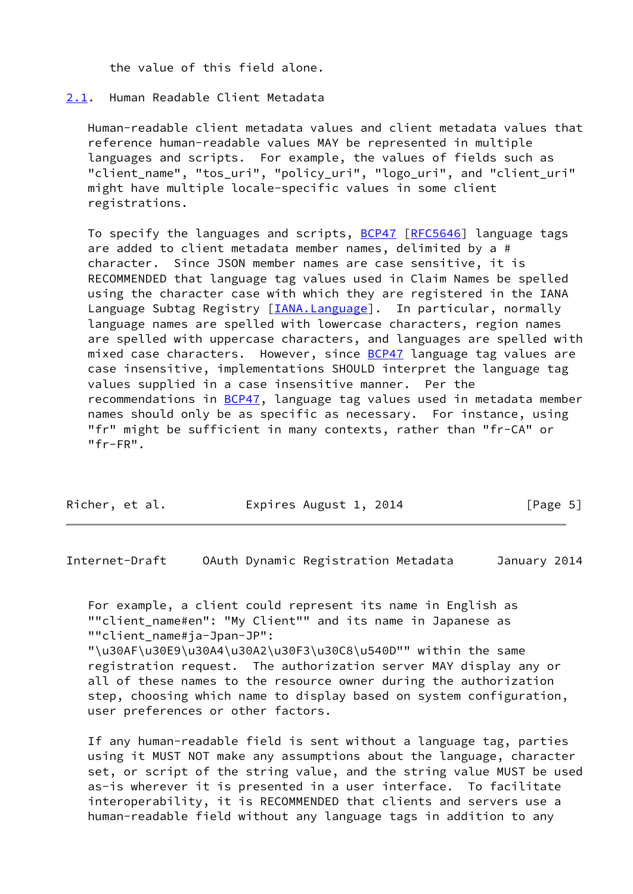the value of this field alone.

### <span id="page-5-0"></span>[2.1](#page-5-0). Human Readable Client Metadata

 Human-readable client metadata values and client metadata values that reference human-readable values MAY be represented in multiple languages and scripts. For example, the values of fields such as "client\_name", "tos\_uri", "policy\_uri", "logo\_uri", and "client\_uri" might have multiple locale-specific values in some client registrations.

To specify the languages and scripts, **BCP47 [\[RFC5646](https://datatracker.ietf.org/doc/pdf/rfc5646)]** language tags are added to client metadata member names, delimited by a # character. Since JSON member names are case sensitive, it is RECOMMENDED that language tag values used in Claim Names be spelled using the character case with which they are registered in the IANA Language Subtag Registry [\[IANA.Language\]](#page-8-3). In particular, normally language names are spelled with lowercase characters, region names are spelled with uppercase characters, and languages are spelled with mixed case characters. However, since **BCP47** language tag values are case insensitive, implementations SHOULD interpret the language tag values supplied in a case insensitive manner. Per the recommendations in **BCP47**, language tag values used in metadata member names should only be as specific as necessary. For instance, using "fr" might be sufficient in many contexts, rather than "fr-CA" or "fr-FR".

| Richer, et al. | Expires August 1, 2014 | [Page 5] |
|----------------|------------------------|----------|
|                |                        |          |

<span id="page-5-1"></span>Internet-Draft OAuth Dynamic Registration Metadata January 2014

 For example, a client could represent its name in English as ""client\_name#en": "My Client"" and its name in Japanese as ""client\_name#ja-Jpan-JP":

 "\u30AF\u30E9\u30A4\u30A2\u30F3\u30C8\u540D"" within the same registration request. The authorization server MAY display any or all of these names to the resource owner during the authorization step, choosing which name to display based on system configuration, user preferences or other factors.

 If any human-readable field is sent without a language tag, parties using it MUST NOT make any assumptions about the language, character set, or script of the string value, and the string value MUST be used as-is wherever it is presented in a user interface. To facilitate interoperability, it is RECOMMENDED that clients and servers use a human-readable field without any language tags in addition to any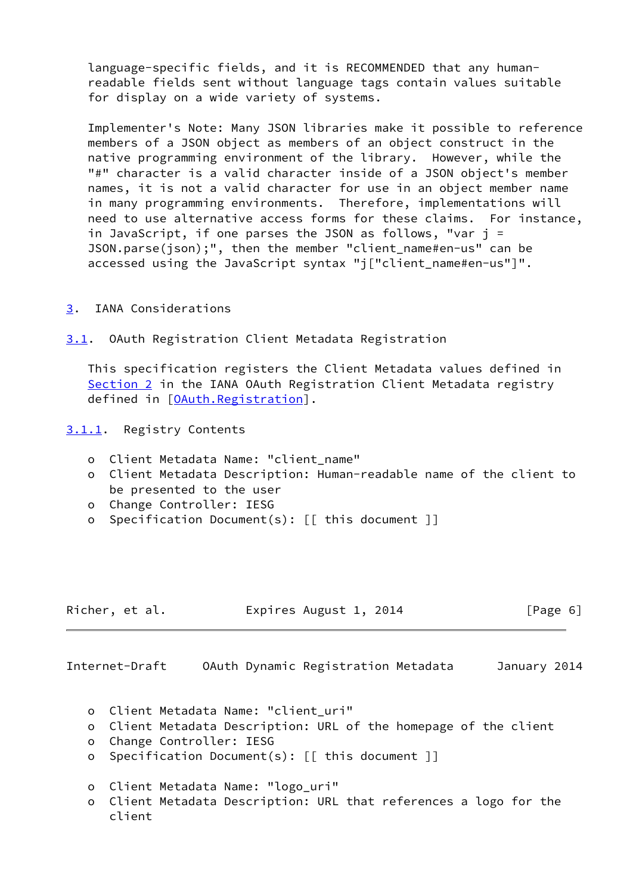language-specific fields, and it is RECOMMENDED that any human readable fields sent without language tags contain values suitable for display on a wide variety of systems.

 Implementer's Note: Many JSON libraries make it possible to reference members of a JSON object as members of an object construct in the native programming environment of the library. However, while the "#" character is a valid character inside of a JSON object's member names, it is not a valid character for use in an object member name in many programming environments. Therefore, implementations will need to use alternative access forms for these claims. For instance, in JavaScript, if one parses the JSON as follows, "var j = JSON.parse(json);", then the member "client\_name#en-us" can be accessed using the JavaScript syntax "j["client\_name#en-us"]".

### <span id="page-6-0"></span>[3](#page-6-0). IANA Considerations

<span id="page-6-1"></span>[3.1](#page-6-1). OAuth Registration Client Metadata Registration

 This specification registers the Client Metadata values defined in [Section 2](#page-3-0) in the IANA OAuth Registration Client Metadata registry defined in [[OAuth.Registration\]](#page-9-3).

<span id="page-6-2"></span>[3.1.1](#page-6-2). Registry Contents

- o Client Metadata Name: "client\_name"
- o Client Metadata Description: Human-readable name of the client to be presented to the user
- o Change Controller: IESG
- o Specification Document(s): [[ this document ]]

| Richer, et al. | Expires August 1, 2014 | [Page 6] |
|----------------|------------------------|----------|
|----------------|------------------------|----------|

Internet-Draft OAuth Dynamic Registration Metadata January 2014

- o Client Metadata Name: "client\_uri"
- o Client Metadata Description: URL of the homepage of the client
- o Change Controller: IESG
- o Specification Document(s): [[ this document ]]
- o Client Metadata Name: "logo\_uri"
- o Client Metadata Description: URL that references a logo for the client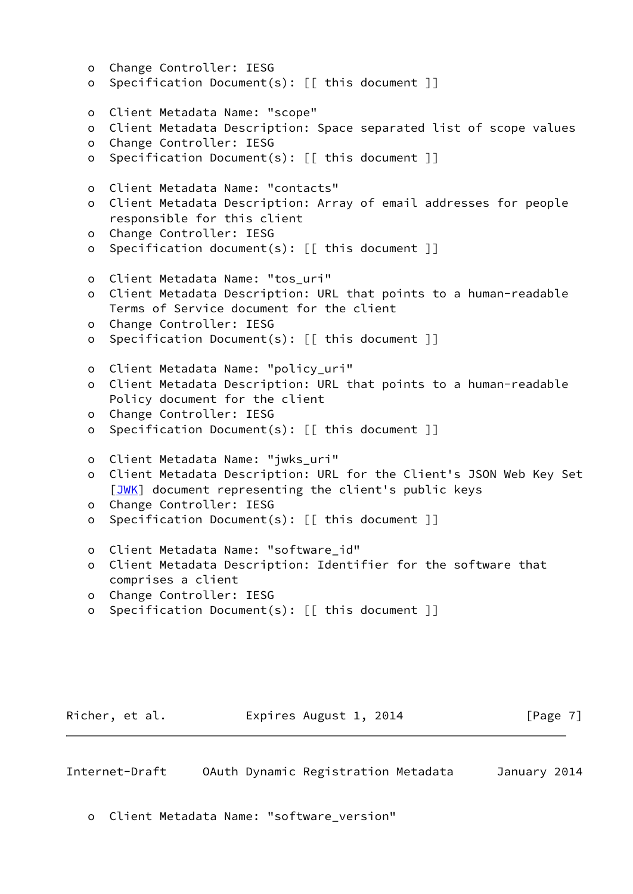```
 o Change Controller: IESG
o Specification Document(s): [[ this document ]]
o Client Metadata Name: "scope"
o Client Metadata Description: Space separated list of scope values
o Change Controller: IESG
o Specification Document(s): [[ this document ]]
o Client Metadata Name: "contacts"
o Client Metadata Description: Array of email addresses for people
  responsible for this client
o Change Controller: IESG
o Specification document(s): [[ this document ]]
o Client Metadata Name: "tos_uri"
o Client Metadata Description: URL that points to a human-readable
  Terms of Service document for the client
o Change Controller: IESG
o Specification Document(s): [[ this document ]]
o Client Metadata Name: "policy_uri"
o Client Metadata Description: URL that points to a human-readable
  Policy document for the client
o Change Controller: IESG
o Specification Document(s): [[ this document ]]
o Client Metadata Name: "jwks_uri"
o Client Metadata Description: URL for the Client's JSON Web Key Set
 JWK] document representing the client's public keys
o Change Controller: IESG
o Specification Document(s): [[ this document ]]
o Client Metadata Name: "software_id"
o Client Metadata Description: Identifier for the software that
  comprises a client
o Change Controller: IESG
o Specification Document(s): [[ this document ]]
```
Richer, et al. Expires August 1, 2014 [Page 7]

<span id="page-7-0"></span>Internet-Draft OAuth Dynamic Registration Metadata January 2014

o Client Metadata Name: "software\_version"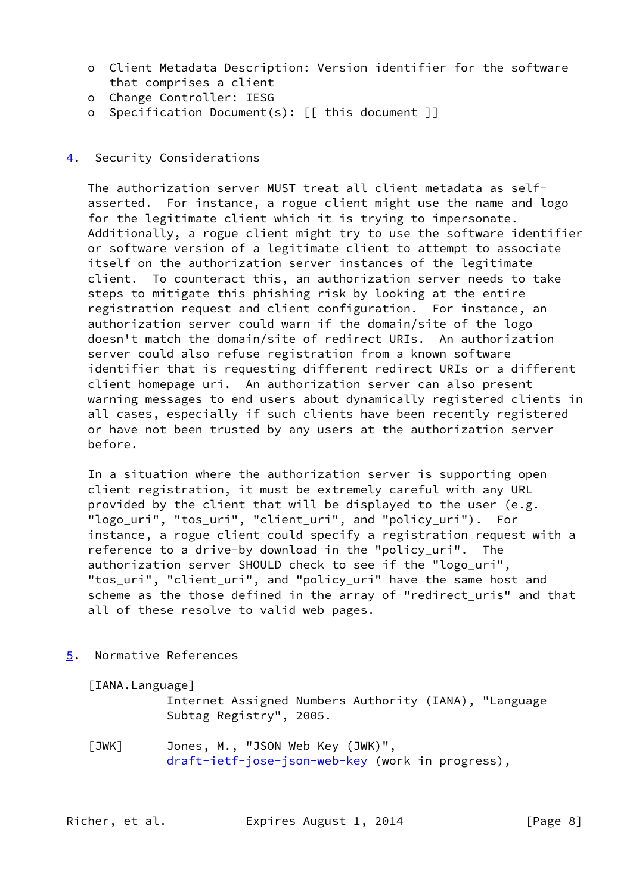- o Client Metadata Description: Version identifier for the software that comprises a client
- o Change Controller: IESG
- o Specification Document(s): [[ this document ]]

## <span id="page-8-0"></span>[4](#page-8-0). Security Considerations

 The authorization server MUST treat all client metadata as self asserted. For instance, a rogue client might use the name and logo for the legitimate client which it is trying to impersonate. Additionally, a rogue client might try to use the software identifier or software version of a legitimate client to attempt to associate itself on the authorization server instances of the legitimate client. To counteract this, an authorization server needs to take steps to mitigate this phishing risk by looking at the entire registration request and client configuration. For instance, an authorization server could warn if the domain/site of the logo doesn't match the domain/site of redirect URIs. An authorization server could also refuse registration from a known software identifier that is requesting different redirect URIs or a different client homepage uri. An authorization server can also present warning messages to end users about dynamically registered clients in all cases, especially if such clients have been recently registered or have not been trusted by any users at the authorization server before.

 In a situation where the authorization server is supporting open client registration, it must be extremely careful with any URL provided by the client that will be displayed to the user (e.g. "logo uri", "tos\_uri", "client\_uri", and "policy\_uri"). For instance, a rogue client could specify a registration request with a reference to a drive-by download in the "policy\_uri". The authorization server SHOULD check to see if the "logo\_uri", "tos uri", "client uri", and "policy uri" have the same host and scheme as the those defined in the array of "redirect uris" and that all of these resolve to valid web pages.

<span id="page-8-1"></span>[5](#page-8-1). Normative References

<span id="page-8-3"></span>[IANA.Language]

 Internet Assigned Numbers Authority (IANA), "Language Subtag Registry", 2005.

<span id="page-8-2"></span> [JWK] Jones, M., "JSON Web Key (JWK)", [draft-ietf-jose-json-web-key](https://datatracker.ietf.org/doc/pdf/draft-ietf-jose-json-web-key) (work in progress),

Richer, et al. Expires August 1, 2014 [Page 8]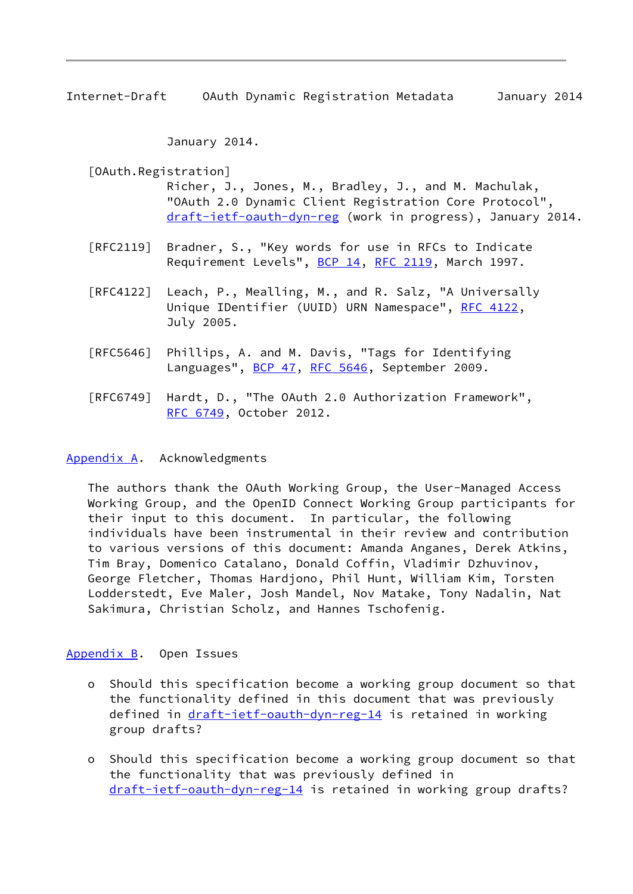<span id="page-9-1"></span>Internet-Draft OAuth Dynamic Registration Metadata January 2014

January 2014.

<span id="page-9-3"></span> [OAuth.Registration] Richer, J., Jones, M., Bradley, J., and M. Machulak, "OAuth 2.0 Dynamic Client Registration Core Protocol", [draft-ietf-oauth-dyn-reg](https://datatracker.ietf.org/doc/pdf/draft-ietf-oauth-dyn-reg) (work in progress), January 2014.

- [RFC2119] Bradner, S., "Key words for use in RFCs to Indicate Requirement Levels", [BCP 14](https://datatracker.ietf.org/doc/pdf/bcp14), [RFC 2119](https://datatracker.ietf.org/doc/pdf/rfc2119), March 1997.
- [RFC4122] Leach, P., Mealling, M., and R. Salz, "A Universally Unique IDentifier (UUID) URN Namespace", [RFC 4122,](https://datatracker.ietf.org/doc/pdf/rfc4122) July 2005.
- [RFC5646] Phillips, A. and M. Davis, "Tags for Identifying Languages", [BCP 47](https://datatracker.ietf.org/doc/pdf/bcp47), [RFC 5646,](https://datatracker.ietf.org/doc/pdf/rfc5646) September 2009.
- [RFC6749] Hardt, D., "The OAuth 2.0 Authorization Framework", [RFC 6749,](https://datatracker.ietf.org/doc/pdf/rfc6749) October 2012.

### <span id="page-9-0"></span>[Appendix A.](#page-9-0) Acknowledgments

 The authors thank the OAuth Working Group, the User-Managed Access Working Group, and the OpenID Connect Working Group participants for their input to this document. In particular, the following individuals have been instrumental in their review and contribution to various versions of this document: Amanda Anganes, Derek Atkins, Tim Bray, Domenico Catalano, Donald Coffin, Vladimir Dzhuvinov, George Fletcher, Thomas Hardjono, Phil Hunt, William Kim, Torsten Lodderstedt, Eve Maler, Josh Mandel, Nov Matake, Tony Nadalin, Nat Sakimura, Christian Scholz, and Hannes Tschofenig.

### <span id="page-9-2"></span>[Appendix B.](#page-9-2) Open Issues

- o Should this specification become a working group document so that the functionality defined in this document that was previously defined in [draft-ietf-oauth-dyn-reg-14](https://datatracker.ietf.org/doc/pdf/draft-ietf-oauth-dyn-reg-14) is retained in working group drafts?
- o Should this specification become a working group document so that the functionality that was previously defined in [draft-ietf-oauth-dyn-reg-14](https://datatracker.ietf.org/doc/pdf/draft-ietf-oauth-dyn-reg-14) is retained in working group drafts?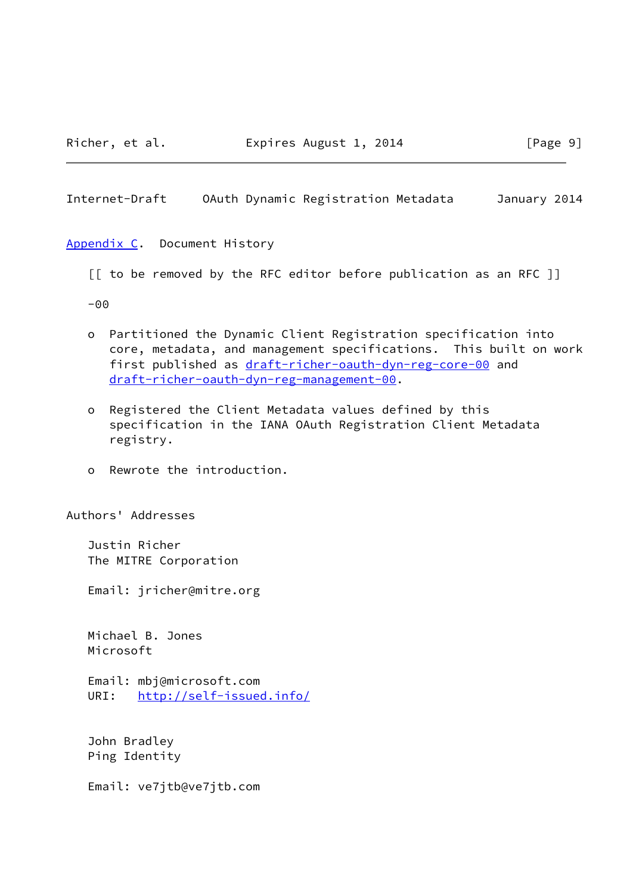<span id="page-10-1"></span>Internet-Draft OAuth Dynamic Registration Metadata January 2014

<span id="page-10-0"></span>[Appendix C.](#page-10-0) Document History

[[ to be removed by the RFC editor before publication as an RFC ]]

-00

- o Partitioned the Dynamic Client Registration specification into core, metadata, and management specifications. This built on work first published as [draft-richer-oauth-dyn-reg-core-00](https://datatracker.ietf.org/doc/pdf/draft-richer-oauth-dyn-reg-core-00) and [draft-richer-oauth-dyn-reg-management-00.](https://datatracker.ietf.org/doc/pdf/draft-richer-oauth-dyn-reg-management-00)
- o Registered the Client Metadata values defined by this specification in the IANA OAuth Registration Client Metadata registry.
- o Rewrote the introduction.

Authors' Addresses

 Justin Richer The MITRE Corporation

Email: jricher@mitre.org

 Michael B. Jones Microsoft

 Email: mbj@microsoft.com URI: <http://self-issued.info/>

 John Bradley Ping Identity

Email: ve7jtb@ve7jtb.com